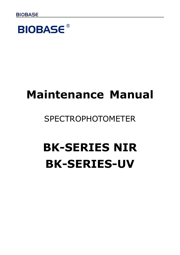**BIOBASE®** 

# **Maintenance Manual**

# SPECTROPHOTOMETER

# **BK-SERIES NIR BK-SERIES-UV**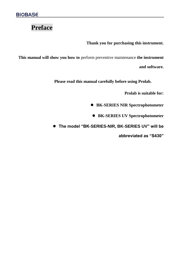# **Preface**

**Thank you for purchasing this instrument.**

**This manual will show you how to** perform preventive maintenance **the instrument** 

**and software.**

**Please read this manual carefully before using Prolab.**

**Prolab is suitable for:**

⚫ **BK-SERIES NIR Spectrophotometer**

⚫ **BK-SERIES UV Spectrophotometer**

⚫ **The model "BK-SERIES-NIR, BK-SERIES UV" will be** 

**abbreviated as "S430"**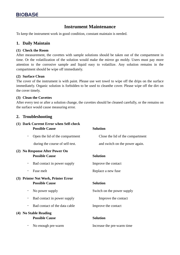### **Instrument Maintenance**

To keep the instrument work in good condition, constant maintain is needed.

#### **1. Daily Maintain**

#### **(1) Check the Room**

After measurement, the cuvettes with sample solutions should be taken out of the compartment in time. Or the volatilization of the solution would make the mirror go moldy. Users must pay more attention to the corrosive sample and liquid easy to volatilize. Any solution remains in the compartment should be wipe off immediately.

#### **(2) Surface Clean**

The cover of the instrument is with paint. Please use wet towel to wipe off the drips on the surface immediately. Organic solution is forbidden to be used to cleanthe cover. Please wipe off the dirt on the cover timely.

#### **(3) Clean the Cuvettes**

After every test or after a solution change, the cuvettes should be cleaned carefully, or the remains on the surface would cause measuring error.

#### **2. Troubleshooting**

|   | (1) Dark Current Error when Self-check<br><b>Possible Cause</b> | <b>Solution</b>                  |
|---|-----------------------------------------------------------------|----------------------------------|
| ٠ | Open the lid of the compartment                                 | Close the lid of the compartment |
|   | during the course of self-test.                                 | and switch on the power again.   |
|   | (2) No Response After Power On<br><b>Possible Cause</b>         | <b>Solution</b>                  |
| ٠ | Bad contact in power supply                                     | Improve the contact              |
|   | Fuse melt                                                       | Replace a new fuse               |
|   | (3) Printer Not Work, Printer Error                             |                                  |
|   | <b>Possible Cause</b>                                           | <b>Solution</b>                  |
| ٠ | No power supply                                                 | Switch on the power supply       |
| ٠ | Bad contact in power supply                                     | Improve the contact              |
| ٠ | Bad contact of the data cable                                   | Improve the contact              |
|   | (4) No Stable Reading<br><b>Possible Cause</b>                  | <b>Solution</b>                  |
| ٠ | No enough pre-warm                                              | Increase the pre-warm time       |
|   |                                                                 |                                  |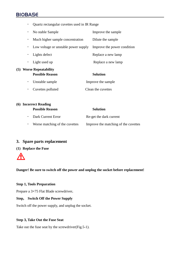## **BIOBASE**

| ٠ | Quartz rectangular cuvettes used in IR Range      |                             |  |
|---|---------------------------------------------------|-----------------------------|--|
| ٠ | No stable Sample                                  | Improve the sample          |  |
| ٠ | Much higher sample concentration                  | Dilute the sample           |  |
| ٠ | Low voltage or unstable power supply              | Improve the power condition |  |
| ٠ | Lights defect                                     | Replace a new lamp          |  |
| ٠ | Light used up                                     | Replace a new lamp          |  |
|   | (5) Worse Repeatability<br><b>Possible Reason</b> | <b>Solution</b>             |  |
| ٠ | Unstable sample                                   | Improve the sample          |  |
| ٠ | Cuvettes polluted                                 | Clean the cuvettes          |  |
|   |                                                   |                             |  |

| (6) Incorrect Reading          |                                      |
|--------------------------------|--------------------------------------|
| <b>Possible Reason</b>         | <b>Solution</b>                      |
| • Dark Current Error           | Re-get the dark current              |
| Worse matching of the cuvettes | Improve the matching of the cuvettes |

#### **3. Spare parts replacement**

#### **(1) Replace the Fuse**



**Danger! Be sure to switch off the power and unplug the socket before replacement!**

#### **Step 1, Tools Preparation**

Prepare a 3×75 Flat Blade screwdriver**.**

#### **Step, Switch Off the Power Supply**

Switch off the power supply, and unplug the socket.

#### **Step 3, Take Out the Fuse Seat**

Take out the fuse seat by the screwdriver(Fig.5-1).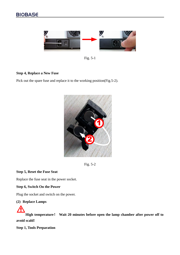

Fig. 5-1

#### **Step 4, Replace a New Fuse**

Pick out the spare fuse and replace it to the working position(Fig.5-2).



Fig. 5-2

#### **Step 5, Reset the Fuse Seat**

Replace the fuse seat in the power socket.

#### **Step 6, Switch On the Power**

Plug the socket and switch on the power.

#### **(2) Replace Lamps**

**High temperature**! **Wait 20 minutes before open the lamp chamber after power off to avoid scald!**

**Step 1, Tools Preparation**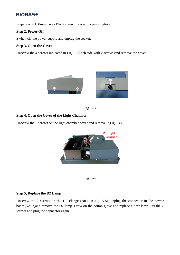## **BIOBASE**

Prepare a 6×150mm Cross Blade screwdriver and a pair of glove.

#### **Step 2, Power Off**

Switch off the power supply and unplug the socket.

#### **Step 3, Open the Cover**

Unscrew the 4 screws indicated in Fig.5-3(Each side with 2 screws)and remove the cover.





#### **Step 4, Open the Cover of the Light Chamber**

Unscrew the 2 screws on the light chamber cover and remove it(Fig.5-4).





#### **Step 5, Replace the D2 Lamp**

Unscrew the 2 screws on the D2 Flange (No.1 in Fig. 5-5), unplug the connector in the power board(No. 2)and remove the D2 lamp. Draw on the cotton glove and replace a new lamp. Fix the 2 screws and plug the connector again.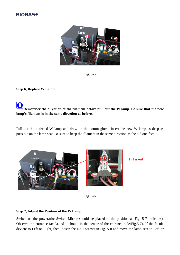

Fig. 5-5

#### **Step 6, Replace W Lamp**

# **Remember the direction of the filament before pull out the W lamp. Be sure that the new lamp's filament is in the same direction as before.**

Pull out the defected W lamp and draw on the cotton glove. Insert the new W lamp as deep as possible on the lamp seat. Be sure to keep the filament in the same direction as the old one face.



Fig. 5-6

#### **Step 7, Adjust the Position of the W Lamp**

Switch on the power,(the Switch Mirror should be placed to the position as Fig. 5-7 indicates). Observe the entrance facula,and it should in the center of the entrance hole(Fig.5-7). If the facula deviate to Left or Right, then loosen the No.1 screws in Fig. 5-8 and move the lamp seat to Left or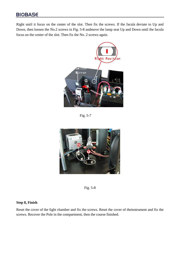### **BIOBASE**

Right until it focus on the center of the slot. Then fix the screws. If the facula deviate to Up and Down, then loosen the No.2 screws in Fig. 5-8 andmove the lamp seat Up and Down until the facula focus on the center of the slot. Then fix the No. 2 screws again.



Fig. 5-7



Fig. 5-8

#### **Step 8, Finish**

Reset the cover of the light chamber and fix the screws. Reset the cover of theinstrument and fix the screws. Recover the Pole in the compartment, then the course finished.